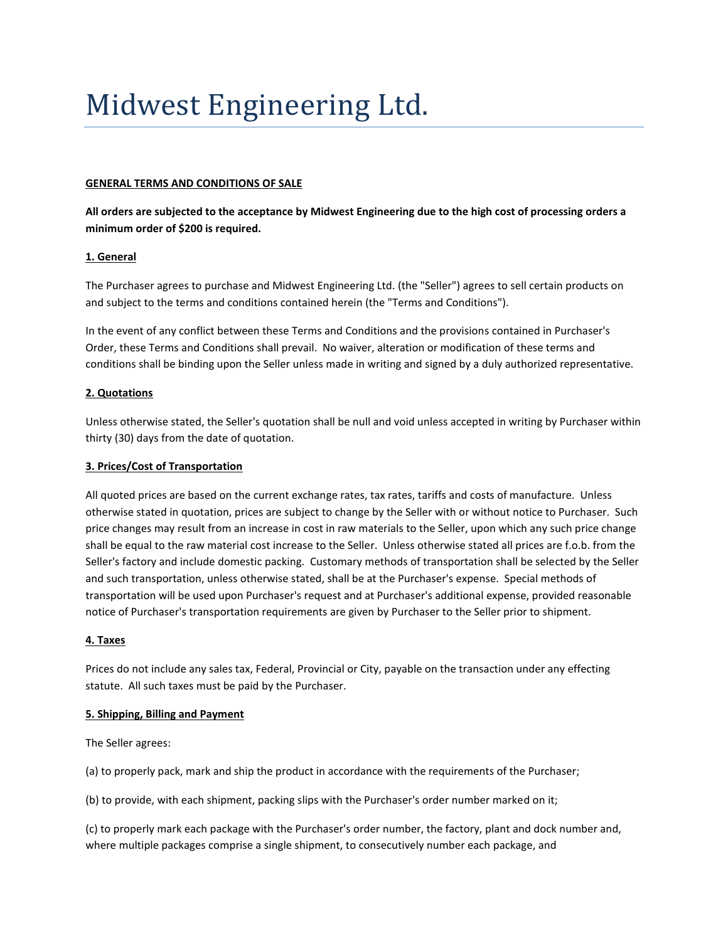# Midwest Engineering Ltd.

### **GENERAL TERMS AND CONDITIONS OF SALE**

**All orders are subjected to the acceptance by Midwest Engineering due to the high cost of processing orders a minimum order of \$200 is required.**

#### **1. General**

The Purchaser agrees to purchase and Midwest Engineering Ltd. (the "Seller") agrees to sell certain products on and subject to the terms and conditions contained herein (the "Terms and Conditions").

In the event of any conflict between these Terms and Conditions and the provisions contained in Purchaser's Order, these Terms and Conditions shall prevail. No waiver, alteration or modification of these terms and conditions shall be binding upon the Seller unless made in writing and signed by a duly authorized representative.

#### **2. Quotations**

Unless otherwise stated, the Seller's quotation shall be null and void unless accepted in writing by Purchaser within thirty (30) days from the date of quotation.

### **3. Prices/Cost of Transportation**

All quoted prices are based on the current exchange rates, tax rates, tariffs and costs of manufacture. Unless otherwise stated in quotation, prices are subject to change by the Seller with or without notice to Purchaser. Such price changes may result from an increase in cost in raw materials to the Seller, upon which any such price change shall be equal to the raw material cost increase to the Seller. Unless otherwise stated all prices are f.o.b. from the Seller's factory and include domestic packing. Customary methods of transportation shall be selected by the Seller and such transportation, unless otherwise stated, shall be at the Purchaser's expense. Special methods of transportation will be used upon Purchaser's request and at Purchaser's additional expense, provided reasonable notice of Purchaser's transportation requirements are given by Purchaser to the Seller prior to shipment.

#### **4. Taxes**

Prices do not include any sales tax, Federal, Provincial or City, payable on the transaction under any effecting statute. All such taxes must be paid by the Purchaser.

#### **5. Shipping, Billing and Payment**

The Seller agrees:

(a) to properly pack, mark and ship the product in accordance with the requirements of the Purchaser;

(b) to provide, with each shipment, packing slips with the Purchaser's order number marked on it;

(c) to properly mark each package with the Purchaser's order number, the factory, plant and dock number and, where multiple packages comprise a single shipment, to consecutively number each package, and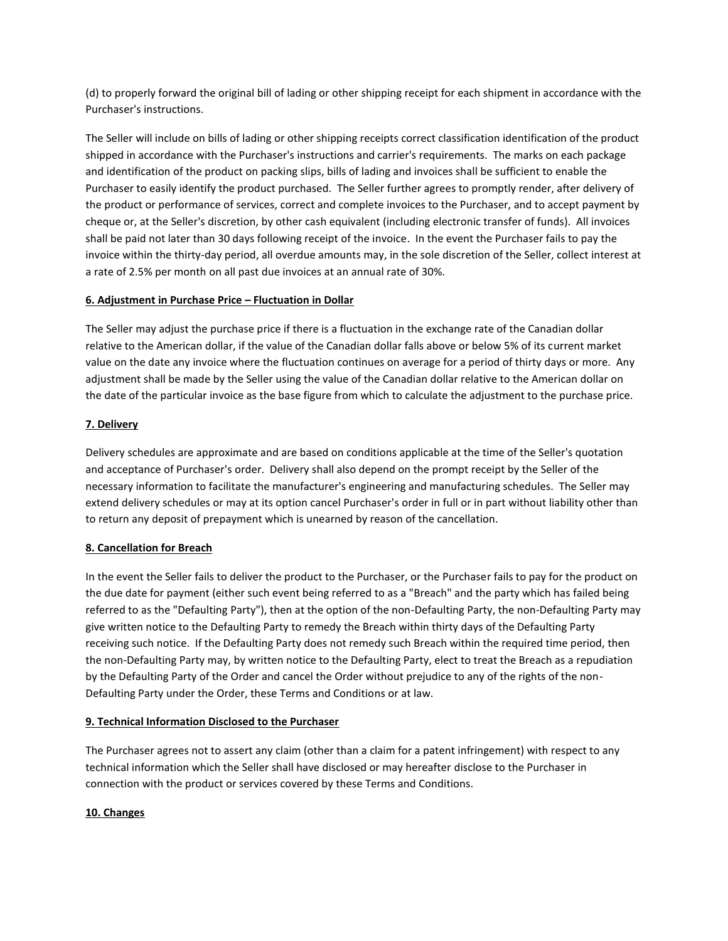(d) to properly forward the original bill of lading or other shipping receipt for each shipment in accordance with the Purchaser's instructions.

The Seller will include on bills of lading or other shipping receipts correct classification identification of the product shipped in accordance with the Purchaser's instructions and carrier's requirements. The marks on each package and identification of the product on packing slips, bills of lading and invoices shall be sufficient to enable the Purchaser to easily identify the product purchased. The Seller further agrees to promptly render, after delivery of the product or performance of services, correct and complete invoices to the Purchaser, and to accept payment by cheque or, at the Seller's discretion, by other cash equivalent (including electronic transfer of funds). All invoices shall be paid not later than 30 days following receipt of the invoice. In the event the Purchaser fails to pay the invoice within the thirty-day period, all overdue amounts may, in the sole discretion of the Seller, collect interest at a rate of 2.5% per month on all past due invoices at an annual rate of 30%.

# **6. Adjustment in Purchase Price – Fluctuation in Dollar**

The Seller may adjust the purchase price if there is a fluctuation in the exchange rate of the Canadian dollar relative to the American dollar, if the value of the Canadian dollar falls above or below 5% of its current market value on the date any invoice where the fluctuation continues on average for a period of thirty days or more. Any adjustment shall be made by the Seller using the value of the Canadian dollar relative to the American dollar on the date of the particular invoice as the base figure from which to calculate the adjustment to the purchase price.

# **7. Delivery**

Delivery schedules are approximate and are based on conditions applicable at the time of the Seller's quotation and acceptance of Purchaser's order. Delivery shall also depend on the prompt receipt by the Seller of the necessary information to facilitate the manufacturer's engineering and manufacturing schedules. The Seller may extend delivery schedules or may at its option cancel Purchaser's order in full or in part without liability other than to return any deposit of prepayment which is unearned by reason of the cancellation.

# **8. Cancellation for Breach**

In the event the Seller fails to deliver the product to the Purchaser, or the Purchaser fails to pay for the product on the due date for payment (either such event being referred to as a "Breach" and the party which has failed being referred to as the "Defaulting Party"), then at the option of the non-Defaulting Party, the non-Defaulting Party may give written notice to the Defaulting Party to remedy the Breach within thirty days of the Defaulting Party receiving such notice. If the Defaulting Party does not remedy such Breach within the required time period, then the non-Defaulting Party may, by written notice to the Defaulting Party, elect to treat the Breach as a repudiation by the Defaulting Party of the Order and cancel the Order without prejudice to any of the rights of the non-Defaulting Party under the Order, these Terms and Conditions or at law.

# **9. Technical Information Disclosed to the Purchaser**

The Purchaser agrees not to assert any claim (other than a claim for a patent infringement) with respect to any technical information which the Seller shall have disclosed or may hereafter disclose to the Purchaser in connection with the product or services covered by these Terms and Conditions.

# **10. Changes**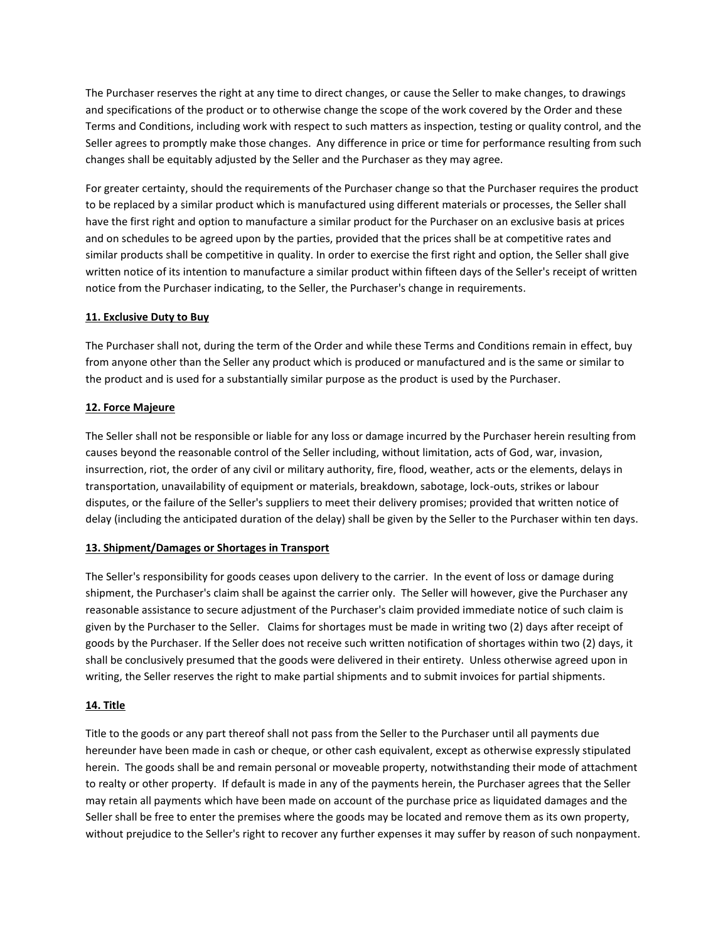The Purchaser reserves the right at any time to direct changes, or cause the Seller to make changes, to drawings and specifications of the product or to otherwise change the scope of the work covered by the Order and these Terms and Conditions, including work with respect to such matters as inspection, testing or quality control, and the Seller agrees to promptly make those changes. Any difference in price or time for performance resulting from such changes shall be equitably adjusted by the Seller and the Purchaser as they may agree.

For greater certainty, should the requirements of the Purchaser change so that the Purchaser requires the product to be replaced by a similar product which is manufactured using different materials or processes, the Seller shall have the first right and option to manufacture a similar product for the Purchaser on an exclusive basis at prices and on schedules to be agreed upon by the parties, provided that the prices shall be at competitive rates and similar products shall be competitive in quality. In order to exercise the first right and option, the Seller shall give written notice of its intention to manufacture a similar product within fifteen days of the Seller's receipt of written notice from the Purchaser indicating, to the Seller, the Purchaser's change in requirements.

# **11. Exclusive Duty to Buy**

The Purchaser shall not, during the term of the Order and while these Terms and Conditions remain in effect, buy from anyone other than the Seller any product which is produced or manufactured and is the same or similar to the product and is used for a substantially similar purpose as the product is used by the Purchaser.

#### **12. Force Majeure**

The Seller shall not be responsible or liable for any loss or damage incurred by the Purchaser herein resulting from causes beyond the reasonable control of the Seller including, without limitation, acts of God, war, invasion, insurrection, riot, the order of any civil or military authority, fire, flood, weather, acts or the elements, delays in transportation, unavailability of equipment or materials, breakdown, sabotage, lock-outs, strikes or labour disputes, or the failure of the Seller's suppliers to meet their delivery promises; provided that written notice of delay (including the anticipated duration of the delay) shall be given by the Seller to the Purchaser within ten days.

#### **13. Shipment/Damages or Shortages in Transport**

The Seller's responsibility for goods ceases upon delivery to the carrier. In the event of loss or damage during shipment, the Purchaser's claim shall be against the carrier only. The Seller will however, give the Purchaser any reasonable assistance to secure adjustment of the Purchaser's claim provided immediate notice of such claim is given by the Purchaser to the Seller. Claims for shortages must be made in writing two (2) days after receipt of goods by the Purchaser. If the Seller does not receive such written notification of shortages within two (2) days, it shall be conclusively presumed that the goods were delivered in their entirety. Unless otherwise agreed upon in writing, the Seller reserves the right to make partial shipments and to submit invoices for partial shipments.

#### **14. Title**

Title to the goods or any part thereof shall not pass from the Seller to the Purchaser until all payments due hereunder have been made in cash or cheque, or other cash equivalent, except as otherwise expressly stipulated herein. The goods shall be and remain personal or moveable property, notwithstanding their mode of attachment to realty or other property. If default is made in any of the payments herein, the Purchaser agrees that the Seller may retain all payments which have been made on account of the purchase price as liquidated damages and the Seller shall be free to enter the premises where the goods may be located and remove them as its own property, without prejudice to the Seller's right to recover any further expenses it may suffer by reason of such nonpayment.